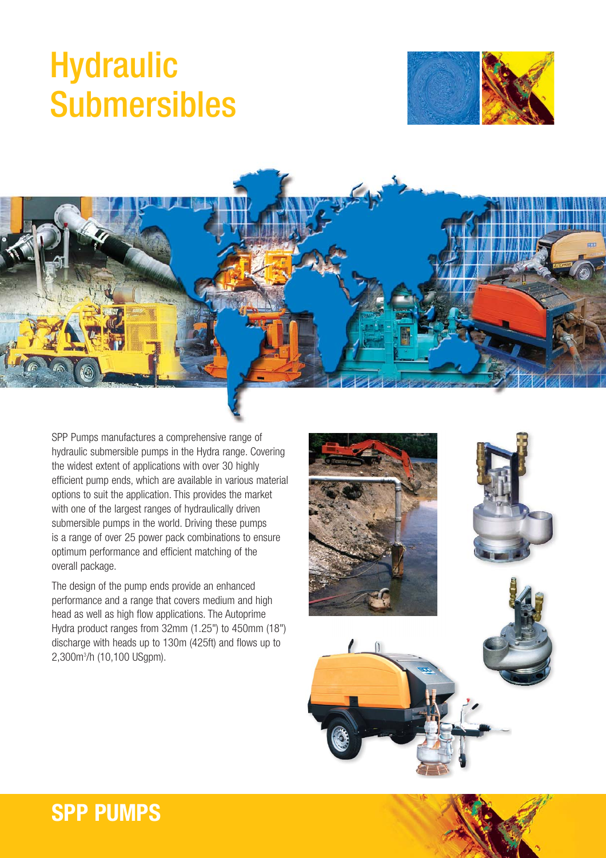## **Hydraulic** Submersibles





SPP Pumps manufactures a comprehensive range of hydraulic submersible pumps in the Hydra range. Covering the widest extent of applications with over 30 highly efficient pump ends, which are available in various material options to suit the application. This provides the market with one of the largest ranges of hydraulically driven submersible pumps in the world. Driving these pumps is a range of over 25 power pack combinations to ensure optimum performance and efficient matching of the overall package.

The design of the pump ends provide an enhanced performance and a range that covers medium and high head as well as high flow applications. The Autoprime Hydra product ranges from 32mm (1.25") to 450mm (18") discharge with heads up to 130m (425ft) and flows up to 2,300m3 /h (10,100 USgpm).



## **SPP PUMPS**